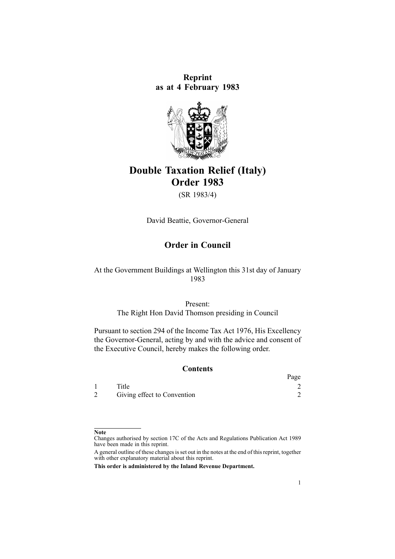**Reprint as at 4 February 1983**



# **Double Taxation Relief (Italy) Order 1983**

(SR 1983/4)

David Beattie, Governor-General

# **Order in Council**

#### At the Government Buildings at Wellington this 31st day of January 1983

#### Present:

The Right Hon David Thomson presiding in Council

Pursuant to section 294 of the Income Tax Act 1976, His Excellency the Governor-General, acting by and with the advice and consent of the Executive Council, hereby makes the following order.

#### **Contents**

|                             | Page |
|-----------------------------|------|
| Title                       |      |
| Giving effect to Convention |      |

#### **Note**

Changes authorised by [section](http://www.legislation.govt.nz/pdflink.aspx?id=DLM195466) 17C of the Acts and Regulations Publication Act 1989 have been made in this reprint.

A general outline of these changes is set out in the notes at the end of this reprint, together with other explanatory material about this reprint.

**This order is administered by the Inland Revenue Department.**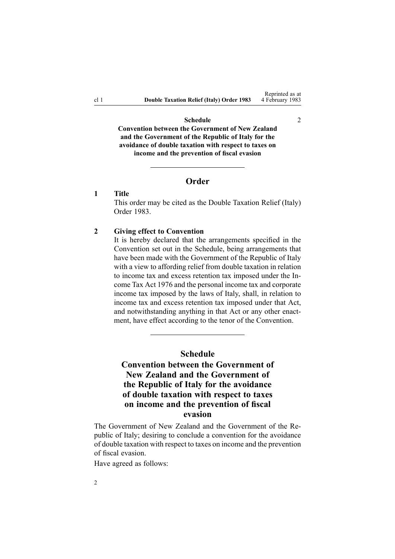#### **Schedule** 2

<span id="page-1-0"></span>**Convention between the Government of New Zealand and the Government of the Republic of Italy for the avoidance of double taxation with respect to taxes on income and the prevention of fiscal evasion**

#### **Order**

# **1 Title**

This order may be cited as the Double Taxation Relief (Italy) Order 1983.

### **2 Giving effect to Convention**

It is hereby declared that the arrangements specified in the Convention set out in the Schedule, being arrangements that have been made with the Government of the Republic of Italy with <sup>a</sup> view to affording relief from double taxation in relation to income tax and excess retention tax imposed under the Income Tax Act 1976 and the personal income tax and corporate income tax imposed by the laws of Italy, shall, in relation to income tax and excess retention tax imposed under that Act, and notwithstanding anything in that Act or any other enactment, have effect according to the tenor of the Convention.

### **Schedule**

# **Convention between the Government of New Zealand and the Government of the Republic of Italy for the avoidance of double taxation with respect to taxes on income and the prevention of fiscal evasion**

The Government of New Zealand and the Government of the Republic of Italy; desiring to conclude <sup>a</sup> convention for the avoidance of double taxation with respec<sup>t</sup> to taxes on income and the prevention of fiscal evasion.

Have agreed as follows: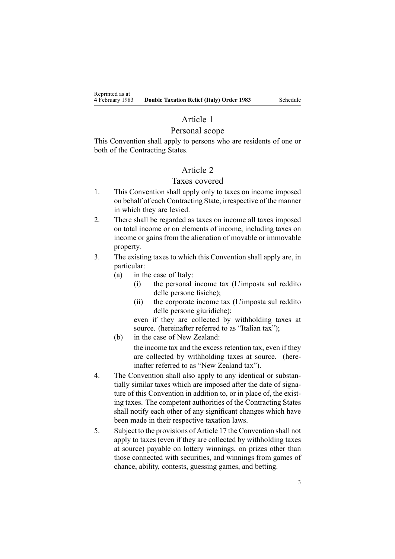### Article 1

### Personal scope

This Convention shall apply to persons who are residents of one or both of the Contracting States.

# Article 2

#### Taxes covered

- 1. This Convention shall apply only to taxes on income imposed on behalf of each Contracting State, irrespective of the manner in which they are levied.
- 2. There shall be regarded as taxes on income all taxes imposed on total income or on elements of income, including taxes on income or gains from the alienation of movable or immovable property.
- 3. The existing taxes to which this Convention shall apply are, in particular:
	- (a) in the case of Italy:
		- (i) the personal income tax (L'imposta sul reddito delle persone fisiche);
		- (ii) the corporate income tax (L'imposta sul reddito delle persone giuridiche);

even if they are collected by withholding taxes at source. (hereinafter referred to as "Italian tax");

- (b) in the case of New Zealand: the income tax and the excess retention tax, even if they are collected by withholding taxes at source. (hereinafter referred to as "New Zealand tax").
- 4. The Convention shall also apply to any identical or substantially similar taxes which are imposed after the date of signature of this Convention in addition to, or in place of, the existing taxes. The competent authorities of the Contracting States shall notify each other of any significant changes which have been made in their respective taxation laws.
- 5. Subject to the provisions of Article 17 the Convention shall not apply to taxes (even if they are collected by withholding taxes at source) payable on lottery winnings, on prizes other than those connected with securities, and winnings from games of chance, ability, contests, guessing games, and betting.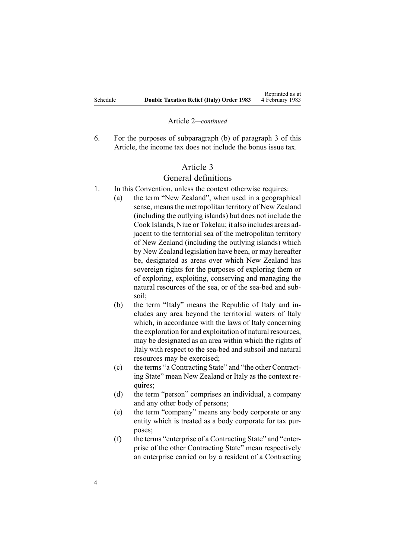#### Article 2*—continued*

6. For the purposes of subparagraph (b) of paragraph 3 of this Article, the income tax does not include the bonus issue tax.

### Article 3

#### General definitions

- 1. In this Convention, unless the context otherwise requires:
	- (a) the term "New Zealand", when used in <sup>a</sup> geographical sense, means the metropolitan territory of New Zealand (including the outlying islands) but does not include the Cook Islands, Niue or Tokelau; it also includes areas adjacent to the territorial sea of the metropolitan territory of New Zealand (including the outlying islands) which by New Zealand legislation have been, or may hereafter be, designated as areas over which New Zealand has sovereign rights for the purposes of exploring them or of exploring, exploiting, conserving and managing the natural resources of the sea, or of the sea-bed and subsoil;
	- (b) the term "Italy" means the Republic of Italy and includes any area beyond the territorial waters of Italy which, in accordance with the laws of Italy concerning the exploration for and exploitation of natural resources, may be designated as an area within which the rights of Italy with respec<sup>t</sup> to the sea-bed and subsoil and natural resources may be exercised;
	- (c) the terms "a Contracting State" and "the other Contracting State" mean New Zealand or Italy as the context requires;
	- (d) the term "person" comprises an individual, <sup>a</sup> company and any other body of persons;
	- (e) the term "company" means any body corporate or any entity which is treated as <sup>a</sup> body corporate for tax purposes;
	- (f) the terms "enterprise of <sup>a</sup> Contracting State" and "enterprise of the other Contracting State" mean respectively an enterprise carried on by <sup>a</sup> resident of <sup>a</sup> Contracting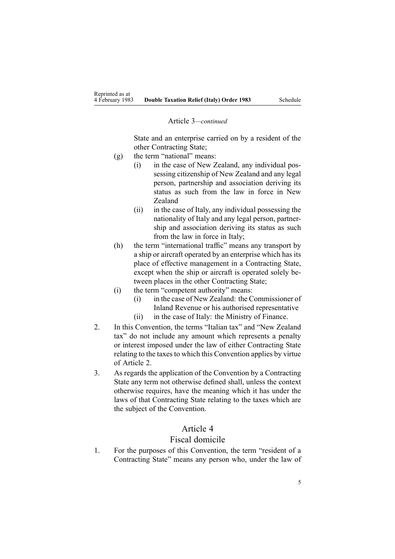#### Article 3*—continued*

State and an enterprise carried on by <sup>a</sup> resident of the other Contracting State;

- (g) the term "national" means:
	- (i) in the case of New Zealand, any individual possessing citizenship of New Zealand and any legal person, partnership and association deriving its status as such from the law in force in New Zealand
	- (ii) in the case of Italy, any individual possessing the nationality of Italy and any legal person, partnership and association deriving its status as such from the law in force in Italy;
- (h) the term "international traffic" means any transport by <sup>a</sup> ship or aircraft operated by an enterprise which has its place of effective managemen<sup>t</sup> in <sup>a</sup> Contracting State, excep<sup>t</sup> when the ship or aircraft is operated solely between places in the other Contracting State;
- (i) the term "competent authority" means:
	- (i) in the case of New Zealand: the Commissioner of Inland Revenue or his authorised representative
	- (ii) in the case of Italy: the Ministry of Finance.
- 2. In this Convention, the terms "Italian tax" and "New Zealand tax" do not include any amount which represents <sup>a</sup> penalty or interest imposed under the law of either Contracting State relating to the taxes to which this Convention applies by virtue of Article 2.
- 3. As regards the application of the Convention by <sup>a</sup> Contracting State any term not otherwise defined shall, unless the context otherwise requires, have the meaning which it has under the laws of that Contracting State relating to the taxes which are the subject of the Convention.

### Article 4

#### Fiscal domicile

1. For the purposes of this Convention, the term "resident of <sup>a</sup> Contracting State" means any person who, under the law of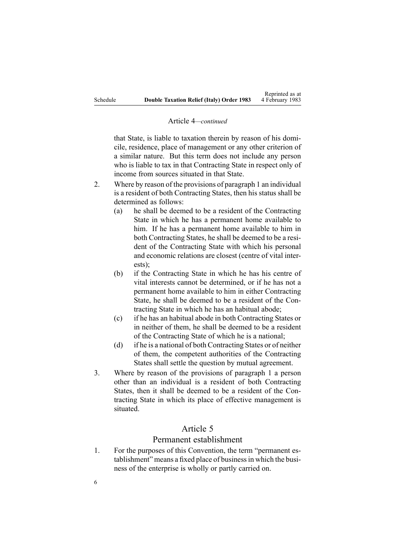#### Article 4*—continued*

that State, is liable to taxation therein by reason of his domicile, residence, place of managemen<sup>t</sup> or any other criterion of <sup>a</sup> similar nature. But this term does not include any person who is liable to tax in that Contracting State in respec<sup>t</sup> only of income from sources situated in that State.

- 2. Where by reason of the provisions of paragraph 1 an individual is <sup>a</sup> resident of both Contracting States, then his status shall be determined as follows:
	- (a) he shall be deemed to be <sup>a</sup> resident of the Contracting State in which he has <sup>a</sup> permanen<sup>t</sup> home available to him. If he has <sup>a</sup> permanen<sup>t</sup> home available to him in both Contracting States, he shall be deemed to be <sup>a</sup> resident of the Contracting State with which his personal and economic relations are closest (centre of vital interests);
	- (b) if the Contracting State in which he has his centre of vital interests cannot be determined, or if he has not <sup>a</sup> permanen<sup>t</sup> home available to him in either Contracting State, he shall be deemed to be <sup>a</sup> resident of the Contracting State in which he has an habitual abode;
	- (c) if he has an habitual abode in both Contracting States or in neither of them, he shall be deemed to be <sup>a</sup> resident of the Contracting State of which he is <sup>a</sup> national;
	- (d) if he is <sup>a</sup> national of both Contracting States or of neither of them, the competent authorities of the Contracting States shall settle the question by mutual agreement.
- 3. Where by reason of the provisions of paragraph 1 <sup>a</sup> person other than an individual is <sup>a</sup> resident of both Contracting States, then it shall be deemed to be <sup>a</sup> resident of the Contracting State in which its place of effective managemen<sup>t</sup> is situated.

# Article 5

#### Permanent establishment

1. For the purposes of this Convention, the term "permanent establishment" means <sup>a</sup> fixed place of businessin which the business of the enterprise is wholly or partly carried on.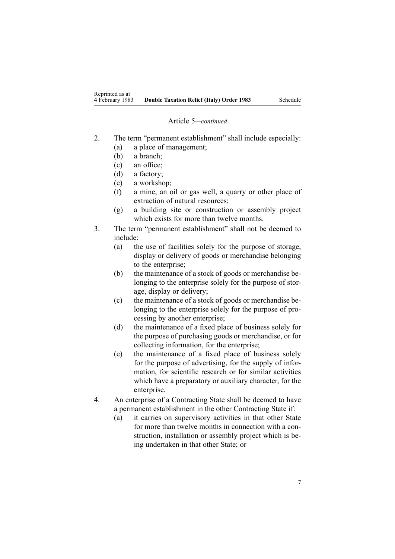#### Article 5*—continued*

- 2. The term "permanent establishment" shall include especially: (a) <sup>a</sup> place of management;
	- (b) <sup>a</sup> branch;
	- (c) an office;
	- (d) <sup>a</sup> factory;
	-
	- (e) <sup>a</sup> workshop;
	- (f) <sup>a</sup> mine, an oil or gas well, <sup>a</sup> quarry or other place of extraction of natural resources;
	- (g) <sup>a</sup> building site or construction or assembly project which exists for more than twelve months.
- 3. The term "permanent establishment" shall not be deemed to include:
	- (a) the use of facilities solely for the purpose of storage, display or delivery of goods or merchandise belonging to the enterprise;
	- (b) the maintenance of <sup>a</sup> stock of goods or merchandise belonging to the enterprise solely for the purpose of storage, display or delivery;
	- (c) the maintenance of <sup>a</sup> stock of goods or merchandise belonging to the enterprise solely for the purpose of processing by another enterprise;
	- (d) the maintenance of <sup>a</sup> fixed place of business solely for the purpose of purchasing goods or merchandise, or for collecting information, for the enterprise;
	- (e) the maintenance of <sup>a</sup> fixed place of business solely for the purpose of advertising, for the supply of information, for scientific research or for similar activities which have <sup>a</sup> preparatory or auxiliary character, for the enterprise.
- 4. An enterprise of <sup>a</sup> Contracting State shall be deemed to have <sup>a</sup> permanen<sup>t</sup> establishment in the other Contracting State if:
	- (a) it carries on supervisory activities in that other State for more than twelve months in connection with <sup>a</sup> construction, installation or assembly project which is being undertaken in that other State; or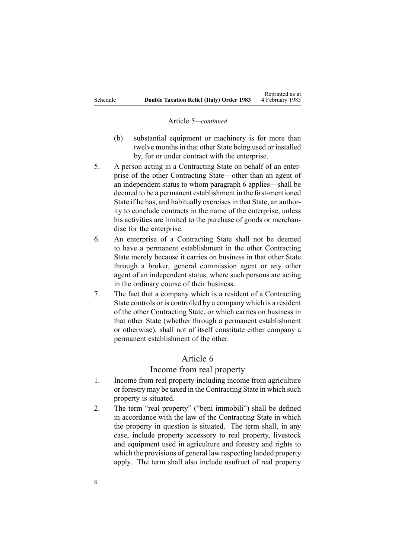#### Article 5*—continued*

- (b) substantial equipment or machinery is for more than twelve months in that other State being used or installed by, for or under contract with the enterprise.
- 5. A person acting in <sup>a</sup> Contracting State on behalf of an enterprise of the other Contracting State—other than an agen<sup>t</sup> of an independent status to whom paragraph 6 applies—shall be deemed to be <sup>a</sup> permanen<sup>t</sup> establishment in the first-mentioned State if he has, and habitually exercises in that State, an authority to conclude contracts in the name of the enterprise, unless his activities are limited to the purchase of goods or merchandise for the enterprise.
- 6. An enterprise of <sup>a</sup> Contracting State shall not be deemed to have <sup>a</sup> permanen<sup>t</sup> establishment in the other Contracting State merely because it carries on business in that other State through <sup>a</sup> broker, general commission agen<sup>t</sup> or any other agen<sup>t</sup> of an independent status, where such persons are acting in the ordinary course of their business.
- 7. The fact that <sup>a</sup> company which is <sup>a</sup> resident of <sup>a</sup> Contracting State controls or is controlled by <sup>a</sup> company which is <sup>a</sup> resident of the other Contracting State, or which carries on business in that other State (whether through <sup>a</sup> permanen<sup>t</sup> establishment or otherwise), shall not of itself constitute either company <sup>a</sup> permanen<sup>t</sup> establishment of the other.

# Article 6

#### Income from real property

- 1. Income from real property including income from agriculture or forestry may be taxed in the Contracting State in which such property is situated.
- 2. The term "real property" ("beni immobili") shall be defined in accordance with the law of the Contracting State in which the property in question is situated. The term shall, in any case, include property accessory to real property, livestock and equipment used in agriculture and forestry and rights to which the provisions of general law respecting landed property apply. The term shall also include usufruct of real property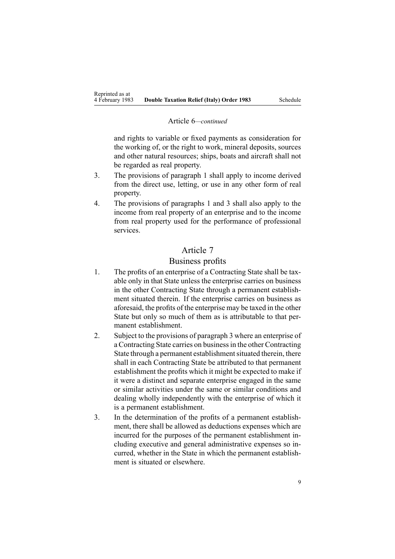#### Article 6*—continued*

and rights to variable or fixed payments as consideration for the working of, or the right to work, mineral deposits, sources and other natural resources; ships, boats and aircraft shall not be regarded as real property.

- 3. The provisions of paragraph 1 shall apply to income derived from the direct use, letting, or use in any other form of real property.
- 4. The provisions of paragraphs 1 and 3 shall also apply to the income from real property of an enterprise and to the income from real property used for the performance of professional services.

### Article 7

### Business profits

- 1. The profits of an enterprise of <sup>a</sup> Contracting State shall be taxable only in that State unless the enterprise carries on business in the other Contracting State through <sup>a</sup> permanen<sup>t</sup> establishment situated therein. If the enterprise carries on business as aforesaid, the profits of the enterprise may be taxed in the other State but only so much of them as is attributable to that permanent establishment.
- 2. Subject to the provisions of paragraph 3 where an enterprise of <sup>a</sup> Contracting State carries on businessin the other Contracting State through a permanent establishment situated therein, there shall in each Contracting State be attributed to that permanen<sup>t</sup> establishment the profits which it might be expected to make if it were <sup>a</sup> distinct and separate enterprise engaged in the same or similar activities under the same or similar conditions and dealing wholly independently with the enterprise of which it is <sup>a</sup> permanen<sup>t</sup> establishment.
- 3. In the determination of the profits of <sup>a</sup> permanen<sup>t</sup> establishment, there shall be allowed as deductions expenses which are incurred for the purposes of the permanen<sup>t</sup> establishment including executive and general administrative expenses so incurred, whether in the State in which the permanen<sup>t</sup> establishment is situated or elsewhere.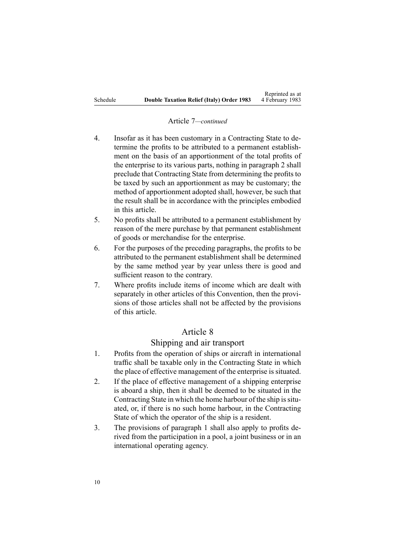#### Article 7*—continued*

- 4. Insofar as it has been customary in <sup>a</sup> Contracting State to determine the profits to be attributed to <sup>a</sup> permanen<sup>t</sup> establishment on the basis of an apportionment of the total profits of the enterprise to its various parts, nothing in paragraph 2 shall preclude that Contracting State from determining the profits to be taxed by such an apportionment as may be customary; the method of apportionment adopted shall, however, be such that the result shall be in accordance with the principles embodied in this article.
- 5. No profits shall be attributed to <sup>a</sup> permanen<sup>t</sup> establishment by reason of the mere purchase by that permanen<sup>t</sup> establishment of goods or merchandise for the enterprise.
- 6. For the purposes of the preceding paragraphs, the profits to be attributed to the permanen<sup>t</sup> establishment shall be determined by the same method year by year unless there is good and sufficient reason to the contrary.
- 7. Where profits include items of income which are dealt with separately in other articles of this Convention, then the provisions of those articles shall not be affected by the provisions of this article.

### Article 8

#### Shipping and air transport

- 1. Profits from the operation of ships or aircraft in international traffic shall be taxable only in the Contracting State in which the place of effective managemen<sup>t</sup> of the enterprise is situated.
- 2. If the place of effective managemen<sup>t</sup> of <sup>a</sup> shipping enterprise is aboard <sup>a</sup> ship, then it shall be deemed to be situated in the Contracting State in which the home harbour of the ship is situated, or, if there is no such home harbour, in the Contracting State of which the operator of the ship is <sup>a</sup> resident.
- 3. The provisions of paragraph 1 shall also apply to profits derived from the participation in <sup>a</sup> pool, <sup>a</sup> joint business or in an international operating agency.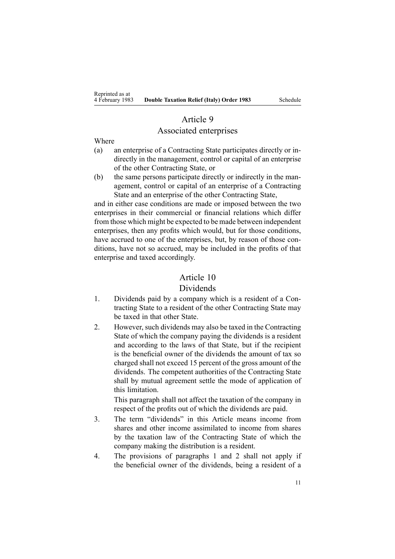### Article 9

### Associated enterprises

#### Where

- (a) an enterprise of <sup>a</sup> Contracting State participates directly or indirectly in the management, control or capital of an enterprise of the other Contracting State, or
- (b) the same persons participate directly or indirectly in the management, control or capital of an enterprise of <sup>a</sup> Contracting State and an enterprise of the other Contracting State,

and in either case conditions are made or imposed between the two enterprises in their commercial or financial relations which differ from those which might be expected to be made between independent enterprises, then any profits which would, but for those conditions, have accrued to one of the enterprises, but, by reason of those conditions, have not so accrued, may be included in the profits of that enterprise and taxed accordingly.

# Article 10

### Dividends

- 1. Dividends paid by <sup>a</sup> company which is <sup>a</sup> resident of <sup>a</sup> Contracting State to <sup>a</sup> resident of the other Contracting State may be taxed in that other State.
- 2. However, such dividends may also be taxed in the Contracting State of which the company paying the dividends is <sup>a</sup> resident and according to the laws of that State, but if the recipient is the beneficial owner of the dividends the amount of tax so charged shall not exceed 15 percen<sup>t</sup> of the gross amount of the dividends. The competent authorities of the Contracting State shall by mutual agreemen<sup>t</sup> settle the mode of application of this limitation.

This paragraph shall not affect the taxation of the company in respec<sup>t</sup> of the profits out of which the dividends are paid.

- 3. The term "dividends" in this Article means income from shares and other income assimilated to income from shares by the taxation law of the Contracting State of which the company making the distribution is <sup>a</sup> resident.
- 4. The provisions of paragraphs 1 and 2 shall not apply if the beneficial owner of the dividends, being <sup>a</sup> resident of <sup>a</sup>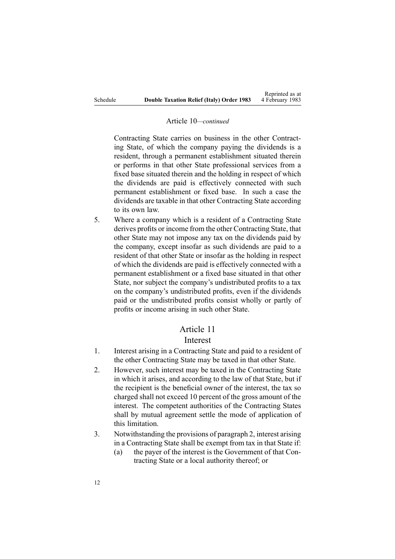#### Article 10*—continued*

Contracting State carries on business in the other Contracting State, of which the company paying the dividends is <sup>a</sup> resident, through <sup>a</sup> permanen<sup>t</sup> establishment situated therein or performs in that other State professional services from <sup>a</sup> fixed base situated therein and the holding in respec<sup>t</sup> of which the dividends are paid is effectively connected with such permanen<sup>t</sup> establishment or fixed base. In such <sup>a</sup> case the dividends are taxable in that other Contracting State according to its own law.

5. Where <sup>a</sup> company which is <sup>a</sup> resident of <sup>a</sup> Contracting State derives profits or income from the other Contracting State, that other State may not impose any tax on the dividends paid by the company, excep<sup>t</sup> insofar as such dividends are paid to <sup>a</sup> resident of that other State or insofar as the holding in respec<sup>t</sup> of which the dividends are paid is effectively connected with <sup>a</sup> permanen<sup>t</sup> establishment or <sup>a</sup> fixed base situated in that other State, nor subject the company's undistributed profits to <sup>a</sup> tax on the company's undistributed profits, even if the dividends paid or the undistributed profits consist wholly or partly of profits or income arising in such other State.

#### Article 11

### Interest

- 1. Interest arising in <sup>a</sup> Contracting State and paid to <sup>a</sup> resident of the other Contracting State may be taxed in that other State.
- 2. However, such interest may be taxed in the Contracting State in which it arises, and according to the law of that State, but if the recipient is the beneficial owner of the interest, the tax so charged shall not exceed 10 percen<sup>t</sup> of the gross amount of the interest. The competent authorities of the Contracting States shall by mutual agreemen<sup>t</sup> settle the mode of application of this limitation.
- 3. Notwithstanding the provisions of paragraph 2, interest arising in <sup>a</sup> Contracting State shall be exemp<sup>t</sup> from tax in that State if:
	- (a) the payer of the interest is the Government of that Contracting State or <sup>a</sup> local authority thereof; or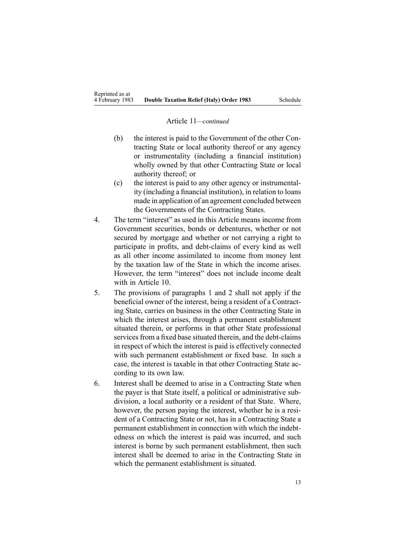#### Article 11*—continued*

- (b) the interest is paid to the Government of the other Contracting State or local authority thereof or any agency or instrumentality (including <sup>a</sup> financial institution) wholly owned by that other Contracting State or local authority thereof; or
- (c) the interest is paid to any other agency or instrumentality (including <sup>a</sup> financial institution), in relation to loans made in application of an agreemen<sup>t</sup> concluded between the Governments of the Contracting States.
- 4. The term "interest" as used in this Article means income from Government securities, bonds or debentures, whether or not secured by mortgage and whether or not carrying <sup>a</sup> right to participate in profits, and debt-claims of every kind as well as all other income assimilated to income from money lent by the taxation law of the State in which the income arises. However, the term "interest" does not include income dealt with in Article 10.
- 5. The provisions of paragraphs 1 and 2 shall not apply if the beneficial owner of the interest, being <sup>a</sup> resident of <sup>a</sup> Contracting State, carries on business in the other Contracting State in which the interest arises, through <sup>a</sup> permanen<sup>t</sup> establishment situated therein, or performs in that other State professional services from a fixed base situated therein, and the debt-claims in respec<sup>t</sup> of which the interest is paid is effectively connected with such permanen<sup>t</sup> establishment or fixed base. In such <sup>a</sup> case, the interest is taxable in that other Contracting State according to its own law.
- 6. Interest shall be deemed to arise in <sup>a</sup> Contracting State when the payer is that State itself, <sup>a</sup> political or administrative subdivision, <sup>a</sup> local authority or <sup>a</sup> resident of that State. Where, however, the person paying the interest, whether he is <sup>a</sup> resident of <sup>a</sup> Contracting State or not, has in <sup>a</sup> Contracting State <sup>a</sup> permanen<sup>t</sup> establishment in connection with which the indebtedness on which the interest is paid was incurred, and such interest is borne by such permanen<sup>t</sup> establishment, then such interest shall be deemed to arise in the Contracting State in which the permanen<sup>t</sup> establishment is situated.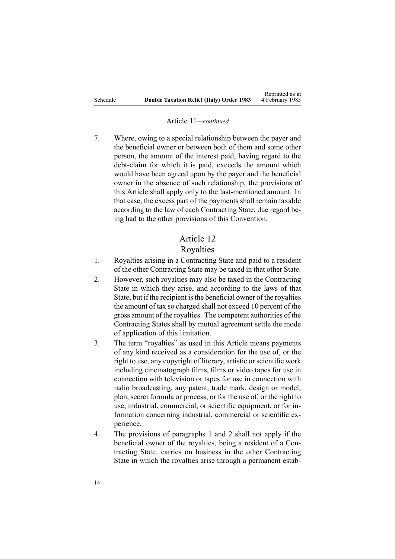#### Article 11*—continued*

7. Where, owing to <sup>a</sup> special relationship between the payer and the beneficial owner or between both of them and some other person, the amount of the interest paid, having regard to the debt-claim for which it is paid, exceeds the amount which would have been agreed upon by the payer and the beneficial owner in the absence of such relationship, the provisions of this Article shall apply only to the last-mentioned amount. In that case, the excess par<sup>t</sup> of the payments shall remain taxable according to the law of each Contracting State, due regard being had to the other provisions of this Convention.

# Article 12

### Royalties

- 1. Royalties arising in <sup>a</sup> Contracting State and paid to <sup>a</sup> resident of the other Contracting State may be taxed in that other State.
- 2. However, such royalties may also be taxed in the Contracting State in which they arise, and according to the laws of that State, but if the recipient is the beneficial owner of the royalties the amount of tax so charged shall not exceed 10 percen<sup>t</sup> of the gross amount of the royalties. The competent authorities of the Contracting States shall by mutual agreemen<sup>t</sup> settle the mode of application of this limitation.
- 3. The term "royalties" as used in this Article means payments of any kind received as <sup>a</sup> consideration for the use of, or the right to use, any copyright of literary, artistic orscientific work including cinematograph films, films or video tapes for use in connection with television or tapes for use in connection with radio broadcasting, any patent, trade mark, design or model, plan, secret formula or process, or for the use of, or the right to use, industrial, commercial, or scientific equipment, or for information concerning industrial, commercial or scientific experience.
- 4. The provisions of paragraphs 1 and 2 shall not apply if the beneficial owner of the royalties, being <sup>a</sup> resident of <sup>a</sup> Contracting State, carries on business in the other Contracting State in which the royalties arise through <sup>a</sup> permanen<sup>t</sup> estab-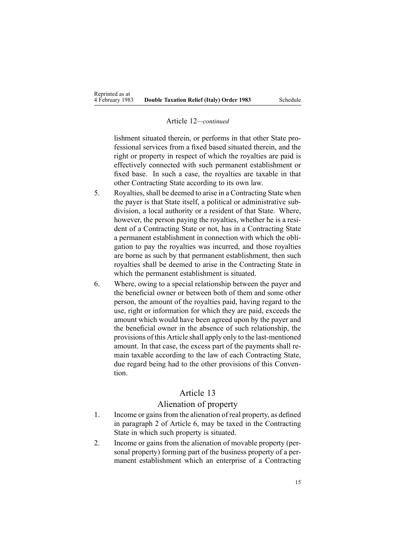#### Article 12*—continued*

lishment situated therein, or performs in that other State professional services from <sup>a</sup> fixed based situated therein, and the right or property in respec<sup>t</sup> of which the royalties are paid is effectively connected with such permanen<sup>t</sup> establishment or fixed base. In such <sup>a</sup> case, the royalties are taxable in that other Contracting State according to its own law.

- 5. Royalties, shall be deemed to arise in <sup>a</sup> Contracting State when the payer is that State itself, <sup>a</sup> political or administrative subdivision, <sup>a</sup> local authority or <sup>a</sup> resident of that State. Where, however, the person paying the royalties, whether he is <sup>a</sup> resident of <sup>a</sup> Contracting State or not, has in <sup>a</sup> Contracting State <sup>a</sup> permanen<sup>t</sup> establishment in connection with which the obligation to pay the royalties was incurred, and those royalties are borne as such by that permanen<sup>t</sup> establishment, then such royalties shall be deemed to arise in the Contracting State in which the permanen<sup>t</sup> establishment is situated.
- 6. Where, owing to <sup>a</sup> special relationship between the payer and the beneficial owner or between both of them and some other person, the amount of the royalties paid, having regard to the use, right or information for which they are paid, exceeds the amount which would have been agreed upon by the payer and the beneficial owner in the absence of such relationship, the provisions of this Article shall apply only to the last-mentioned amount. In that case, the excess par<sup>t</sup> of the payments shall remain taxable according to the law of each Contracting State, due regard being had to the other provisions of this Convention.

### Article 13

### Alienation of property

- 1. Income or gains from the alienation of real property, as defined in paragraph 2 of Article 6, may be taxed in the Contracting State in which such property is situated.
- 2. Income or gains from the alienation of movable property (personal property) forming par<sup>t</sup> of the business property of <sup>a</sup> permanent establishment which an enterprise of <sup>a</sup> Contracting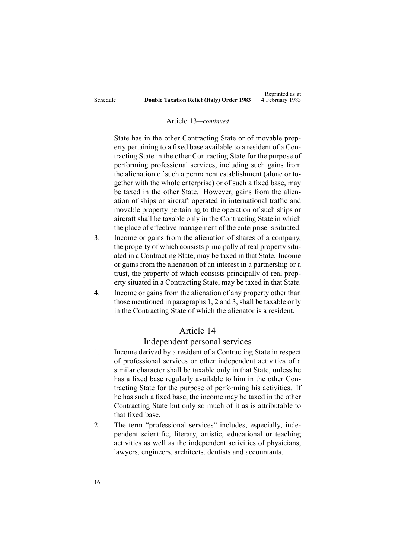#### Article 13*—continued*

State has in the other Contracting State or of movable property pertaining to <sup>a</sup> fixed base available to <sup>a</sup> resident of <sup>a</sup> Contracting State in the other Contracting State for the purpose of performing professional services, including such gains from the alienation of such <sup>a</sup> permanen<sup>t</sup> establishment (alone or together with the whole enterprise) or of such <sup>a</sup> fixed base, may be taxed in the other State. However, gains from the alienation of ships or aircraft operated in international traffic and movable property pertaining to the operation of such ships or aircraft shall be taxable only in the Contracting State in which the place of effective managemen<sup>t</sup> of the enterprise is situated.

- 3. Income or gains from the alienation of shares of <sup>a</sup> company, the property of which consists principally of real property situated in <sup>a</sup> Contracting State, may be taxed in that State. Income or gains from the alienation of an interest in <sup>a</sup> partnership or <sup>a</sup> trust, the property of which consists principally of real property situated in <sup>a</sup> Contracting State, may be taxed in that State.
- 4. Income or gains from the alienation of any property other than those mentioned in paragraphs 1, 2 and 3, shall be taxable only in the Contracting State of which the alienator is <sup>a</sup> resident.

# Article 14

#### Independent personal services

- 1. Income derived by <sup>a</sup> resident of <sup>a</sup> Contracting State in respec<sup>t</sup> of professional services or other independent activities of <sup>a</sup> similar character shall be taxable only in that State, unless he has <sup>a</sup> fixed base regularly available to him in the other Contracting State for the purpose of performing his activities. If he has such <sup>a</sup> fixed base, the income may be taxed in the other Contracting State but only so much of it as is attributable to that fixed base.
- 2. The term "professional services" includes, especially, independent scientific, literary, artistic, educational or teaching activities as well as the independent activities of physicians, lawyers, engineers, architects, dentists and accountants.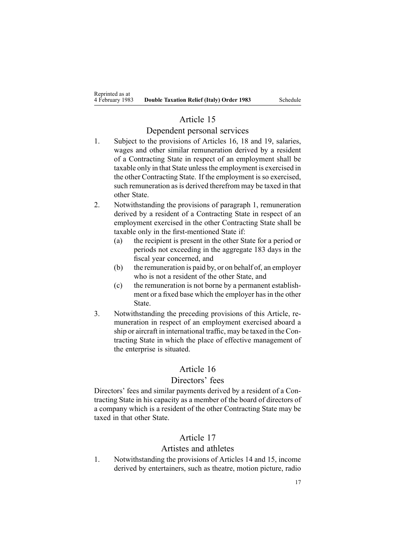### Article 15

#### Dependent personal services

- 1. Subject to the provisions of Articles 16, 18 and 19, salaries, wages and other similar remuneration derived by <sup>a</sup> resident of <sup>a</sup> Contracting State in respec<sup>t</sup> of an employment shall be taxable only in that State unless the employment is exercised in the other Contracting State. If the employment is so exercised, such remuneration as is derived therefrom may be taxed in that other State.
- 2. Notwithstanding the provisions of paragraph 1, remuneration derived by <sup>a</sup> resident of <sup>a</sup> Contracting State in respec<sup>t</sup> of an employment exercised in the other Contracting State shall be taxable only in the first-mentioned State if:
	- (a) the recipient is presen<sup>t</sup> in the other State for <sup>a</sup> period or periods not exceeding in the aggregate 183 days in the fiscal year concerned, and
	- (b) the remuneration is paid by, or on behalf of, an employer who is not <sup>a</sup> resident of the other State, and
	- (c) the remuneration is not borne by <sup>a</sup> permanen<sup>t</sup> establishment or a fixed base which the employer has in the other State.
- 3. Notwithstanding the preceding provisions of this Article, remuneration in respec<sup>t</sup> of an employment exercised aboard <sup>a</sup> ship or aircraft in international traffic, may be taxed in the Contracting State in which the place of effective managemen<sup>t</sup> of the enterprise is situated.

# Article 16

# Directors' fees

Directors' fees and similar payments derived by <sup>a</sup> resident of <sup>a</sup> Contracting State in his capacity as <sup>a</sup> member of the board of directors of <sup>a</sup> company which is <sup>a</sup> resident of the other Contracting State may be taxed in that other State.

### Article 17

#### Artistes and athletes

1. Notwithstanding the provisions of Articles 14 and 15, income derived by entertainers, such as theatre, motion picture, radio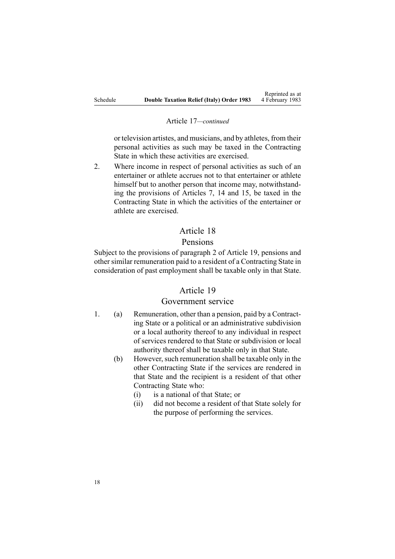#### Article 17*—continued*

or television artistes, and musicians, and by athletes, from their personal activities as such may be taxed in the Contracting State in which these activities are exercised.

2. Where income in respec<sup>t</sup> of personal activities as such of an entertainer or athlete accrues not to that entertainer or athlete himself but to another person that income may, notwithstanding the provisions of Articles 7, 14 and 15, be taxed in the Contracting State in which the activities of the entertainer or athlete are exercised.

# Article 18

### Pensions

Subject to the provisions of paragraph 2 of Article 19, pensions and other similar remuneration paid to <sup>a</sup> resident of <sup>a</sup> Contracting State in consideration of pas<sup>t</sup> employment shall be taxable only in that State.

#### Article 19

#### Government service

- 1. (a) Remuneration, other than <sup>a</sup> pension, paid by <sup>a</sup> Contracting State or <sup>a</sup> political or an administrative subdivision or <sup>a</sup> local authority thereof to any individual in respec<sup>t</sup> of services rendered to that State or subdivision or local authority thereof shall be taxable only in that State.
	- (b) However, such remuneration shall be taxable only in the other Contracting State if the services are rendered in that State and the recipient is <sup>a</sup> resident of that other Contracting State who:
		- (i) is <sup>a</sup> national of that State; or
		- (ii) did not become <sup>a</sup> resident of that State solely for the purpose of performing the services.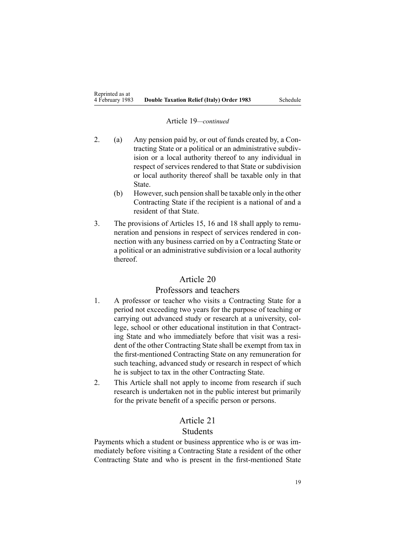#### Article 19*—continued*

- 2. (a) Any pension paid by, or out of funds created by, <sup>a</sup> Contracting State or <sup>a</sup> political or an administrative subdivision or <sup>a</sup> local authority thereof to any individual in respec<sup>t</sup> of services rendered to that State or subdivision or local authority thereof shall be taxable only in that **State** 
	- (b) However, such pension shall be taxable only in the other Contracting State if the recipient is <sup>a</sup> national of and <sup>a</sup> resident of that State.
- 3. The provisions of Articles 15, 16 and 18 shall apply to remuneration and pensions in respec<sup>t</sup> of services rendered in connection with any business carried on by <sup>a</sup> Contracting State or <sup>a</sup> political or an administrative subdivision or <sup>a</sup> local authority thereof.

#### Article 20

#### Professors and teachers

- 1. A professor or teacher who visits <sup>a</sup> Contracting State for <sup>a</sup> period not exceeding two years for the purpose of teaching or carrying out advanced study or research at <sup>a</sup> university, college, school or other educational institution in that Contracting State and who immediately before that visit was <sup>a</sup> resident of the other Contracting State shall be exemp<sup>t</sup> from tax in the first-mentioned Contracting State on any remuneration for such teaching, advanced study or research in respec<sup>t</sup> of which he is subject to tax in the other Contracting State.
- 2. This Article shall not apply to income from research if such research is undertaken not in the public interest but primarily for the private benefit of <sup>a</sup> specific person or persons.

# Article 21

#### Students

Payments which <sup>a</sup> student or business apprentice who is or was immediately before visiting <sup>a</sup> Contracting State <sup>a</sup> resident of the other Contracting State and who is presen<sup>t</sup> in the first-mentioned State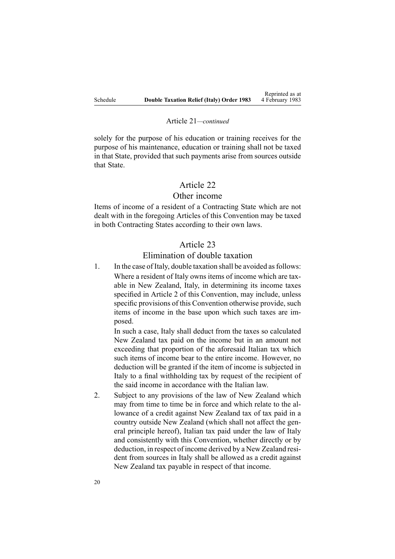#### Article 21*—continued*

solely for the purpose of his education or training receives for the purpose of his maintenance, education or training shall not be taxed in that State, provided that such payments arise from sources outside that State.

### Article 22

#### Other income

Items of income of <sup>a</sup> resident of <sup>a</sup> Contracting State which are not dealt with in the foregoing Articles of this Convention may be taxed in both Contracting States according to their own laws.

# Article 23

### Elimination of double taxation

1. In the case of Italy, double taxation shall be avoided as follows: Where <sup>a</sup> resident of Italy owns items of income which are taxable in New Zealand, Italy, in determining its income taxes specified in Article 2 of this Convention, may include, unless specific provisions of this Convention otherwise provide, such items of income in the base upon which such taxes are imposed.

In such <sup>a</sup> case, Italy shall deduct from the taxes so calculated New Zealand tax paid on the income but in an amount not exceeding that proportion of the aforesaid Italian tax which such items of income bear to the entire income. However, no deduction will be granted if the item of income is subjected in Italy to <sup>a</sup> final withholding tax by reques<sup>t</sup> of the recipient of the said income in accordance with the Italian law.

2. Subject to any provisions of the law of New Zealand which may from time to time be in force and which relate to the allowance of <sup>a</sup> credit against New Zealand tax of tax paid in <sup>a</sup> country outside New Zealand (which shall not affect the general principle hereof), Italian tax paid under the law of Italy and consistently with this Convention, whether directly or by deduction, in respec<sup>t</sup> of income derived by <sup>a</sup> New Zealand resident from sources in Italy shall be allowed as <sup>a</sup> credit against New Zealand tax payable in respec<sup>t</sup> of that income.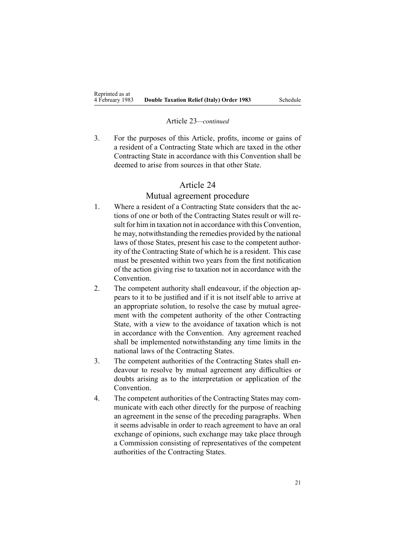#### Article 23*—continued*

3. For the purposes of this Article, profits, income or gains of <sup>a</sup> resident of <sup>a</sup> Contracting State which are taxed in the other Contracting State in accordance with this Convention shall be deemed to arise from sources in that other State.

### Article 24

#### Mutual agreemen<sup>t</sup> procedure

- 1. Where <sup>a</sup> resident of <sup>a</sup> Contracting State considers that the actions of one or both of the Contracting States result or will result for him in taxation not in accordance with this Convention, he may, notwithstanding the remedies provided by the national laws of those States, presen<sup>t</sup> his case to the competent authority of the Contracting State of which he is <sup>a</sup> resident. This case must be presented within two years from the first notification of the action giving rise to taxation not in accordance with the Convention.
- 2. The competent authority shall endeavour, if the objection appears to it to be justified and if it is not itself able to arrive at an appropriate solution, to resolve the case by mutual agreement with the competent authority of the other Contracting State, with <sup>a</sup> view to the avoidance of taxation which is not in accordance with the Convention. Any agreemen<sup>t</sup> reached shall be implemented notwithstanding any time limits in the national laws of the Contracting States.
- 3. The competent authorities of the Contracting States shall endeavour to resolve by mutual agreemen<sup>t</sup> any difficulties or doubts arising as to the interpretation or application of the Convention.
- 4. The competent authorities of the Contracting States may communicate with each other directly for the purpose of reaching an agreemen<sup>t</sup> in the sense of the preceding paragraphs. When it seems advisable in order to reach agreemen<sup>t</sup> to have an oral exchange of opinions, such exchange may take place through <sup>a</sup> Commission consisting of representatives of the competent authorities of the Contracting States.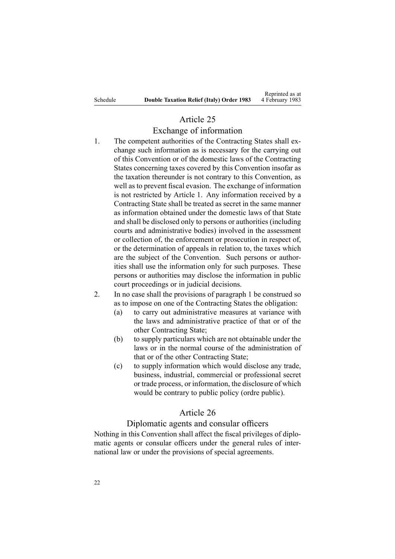Reprinted as at 4 February 1983

# Article 25

# Exchange of information

- 1. The competent authorities of the Contracting States shall exchange such information as is necessary for the carrying out of this Convention or of the domestic laws of the Contracting States concerning taxes covered by this Convention insofar as the taxation thereunder is not contrary to this Convention, as well as to preven<sup>t</sup> fiscal evasion. The exchange of information is not restricted by Article 1. Any information received by <sup>a</sup> Contracting State shall be treated as secret in the same manner as information obtained under the domestic laws of that State and shall be disclosed only to persons or authorities (including courts and administrative bodies) involved in the assessment or collection of, the enforcement or prosecution in respec<sup>t</sup> of, or the determination of appeals in relation to, the taxes which are the subject of the Convention. Such persons or authorities shall use the information only for such purposes. These persons or authorities may disclose the information in public court proceedings or in judicial decisions.
- 2. In no case shall the provisions of paragraph 1 be construed so as to impose on one of the Contracting States the obligation:
	- (a) to carry out administrative measures at variance with the laws and administrative practice of that or of the other Contracting State;
	- (b) to supply particulars which are not obtainable under the laws or in the normal course of the administration of that or of the other Contracting State;
	- (c) to supply information which would disclose any trade, business, industrial, commercial or professional secret or trade process, or information, the disclosure of which would be contrary to public policy (ordre public).

# Article 26

#### Diplomatic agents and consular officers

Nothing in this Convention shall affect the fiscal privileges of diplomatic agents or consular officers under the general rules of international law or under the provisions of special agreements.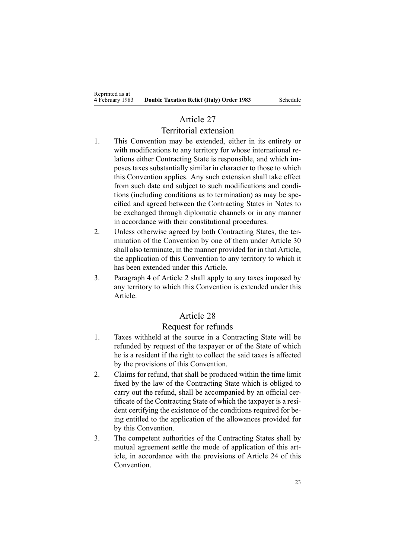### Article 27

### Territorial extension

- 1. This Convention may be extended, either in its entirety or with modifications to any territory for whose international relations either Contracting State is responsible, and which imposes taxes substantially similar in character to those to which this Convention applies. Any such extension shall take effect from such date and subject to such modifications and conditions (including conditions as to termination) as may be specified and agreed between the Contracting States in Notes to be exchanged through diplomatic channels or in any manner in accordance with their constitutional procedures.
- 2. Unless otherwise agreed by both Contracting States, the termination of the Convention by one of them under Article 30 shall also terminate, in the manner provided for in that Article, the application of this Convention to any territory to which it has been extended under this Article.
- 3. Paragraph 4 of Article 2 shall apply to any taxes imposed by any territory to which this Convention is extended under this Article.

# Article 28

### Request for refunds

- 1. Taxes withheld at the source in <sup>a</sup> Contracting State will be refunded by reques<sup>t</sup> of the taxpayer or of the State of which he is <sup>a</sup> resident if the right to collect the said taxes is affected by the provisions of this Convention.
- 2. Claims for refund, that shall be produced within the time limit fixed by the law of the Contracting State which is obliged to carry out the refund, shall be accompanied by an official certificate of the Contracting State of which the taxpayer is <sup>a</sup> resident certifying the existence of the conditions required for being entitled to the application of the allowances provided for by this Convention.
- 3. The competent authorities of the Contracting States shall by mutual agreemen<sup>t</sup> settle the mode of application of this article, in accordance with the provisions of Article 24 of this Convention.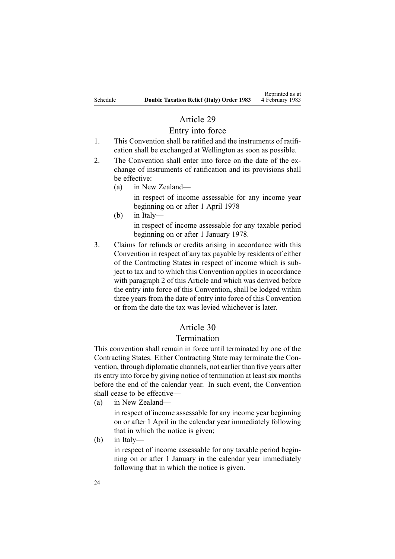#### Article 29

### Entry into force

- 1. This Convention shall be ratified and the instruments of ratification shall be exchanged at Wellington as soon as possible.
- 2. The Convention shall enter into force on the date of the exchange of instruments of ratification and its provisions shall be effective:
	- (a) in New Zealand—

in respec<sup>t</sup> of income assessable for any income year beginning on or after 1 April 1978

- (b) in Italy in respec<sup>t</sup> of income assessable for any taxable period beginning on or after 1 January 1978.
- 3. Claims for refunds or credits arising in accordance with this Convention in respec<sup>t</sup> of any tax payable by residents of either of the Contracting States in respec<sup>t</sup> of income which is subject to tax and to which this Convention applies in accordance with paragraph 2 of this Article and which was derived before the entry into force of this Convention, shall be lodged within three years from the date of entry into force of this Convention or from the date the tax was levied whichever is later.

### Article 30

#### Termination

This convention shall remain in force until terminated by one of the Contracting States. Either Contracting State may terminate the Convention, through diplomatic channels, not earlier than five years after its entry into force by giving notice of termination at least six months before the end of the calendar year. In such event, the Convention shall cease to be effective—

(a) in New Zealand—

in respec<sup>t</sup> of income assessable for any income year beginning on or after 1 April in the calendar year immediately following that in which the notice is given;

(b) in Italy in respec<sup>t</sup> of income assessable for any taxable period beginning on or after 1 January in the calendar year immediately following that in which the notice is given.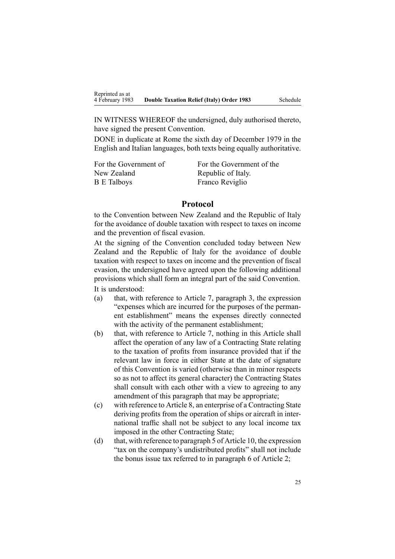IN WITNESS WHEREOF the undersigned, duly authorised thereto, have signed the presen<sup>t</sup> Convention.

DONE in duplicate at Rome the sixth day of December 1979 in the English and Italian languages, both texts being equally authoritative.

| For the Government of | For the Government of the |
|-----------------------|---------------------------|
| New Zealand           | Republic of Italy.        |
| <b>B</b> E Talboys    | Franco Reviglio           |

#### **Protocol**

to the Convention between New Zealand and the Republic of Italy for the avoidance of double taxation with respec<sup>t</sup> to taxes on income and the prevention of fiscal evasion.

At the signing of the Convention concluded today between New Zealand and the Republic of Italy for the avoidance of double taxation with respec<sup>t</sup> to taxes on income and the prevention of fiscal evasion, the undersigned have agreed upon the following additional provisions which shall form an integral par<sup>t</sup> of the said Convention. It is understood:

- (a) that, with reference to Article 7, paragraph 3, the expression "expenses which are incurred for the purposes of the permanent establishment" means the expenses directly connected with the activity of the permanent establishment:
- (b) that, with reference to Article 7, nothing in this Article shall affect the operation of any law of <sup>a</sup> Contracting State relating to the taxation of profits from insurance provided that if the relevant law in force in either State at the date of signature of this Convention is varied (otherwise than in minor respects so as not to affect its general character) the Contracting States shall consult with each other with <sup>a</sup> view to agreeing to any amendment of this paragraph that may be appropriate;
- (c) with reference to Article 8, an enterprise of <sup>a</sup> Contracting State deriving profits from the operation of ships or aircraft in international traffic shall not be subject to any local income tax imposed in the other Contracting State;
- (d) that, with reference to paragraph 5 of Article 10, the expression "tax on the company's undistributed profits" shall not include the bonus issue tax referred to in paragraph 6 of Article 2;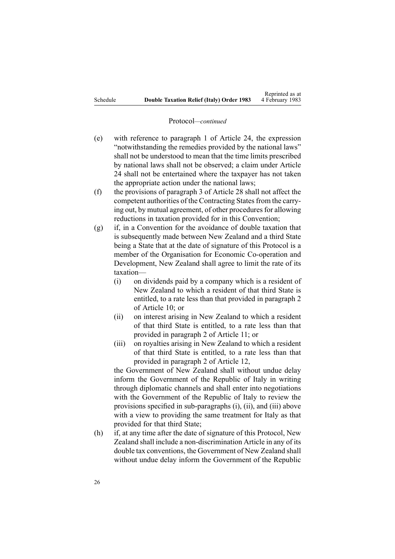#### Protocol*—continued*

- (e) with reference to paragraph 1 of Article 24, the expression "notwithstanding the remedies provided by the national laws" shall not be understood to mean that the time limits prescribed by national laws shall not be observed; <sup>a</sup> claim under Article 24 shall not be entertained where the taxpayer has not taken the appropriate action under the national laws;
- (f) the provisions of paragraph 3 of Article 28 shall not affect the competent authorities of the Contracting States from the carrying out, by mutual agreement, of other procedures for allowing reductions in taxation provided for in this Convention;
- (g) if, in <sup>a</sup> Convention for the avoidance of double taxation that is subsequently made between New Zealand and <sup>a</sup> third State being <sup>a</sup> State that at the date of signature of this Protocol is <sup>a</sup> member of the Organisation for Economic Co-operation and Development, New Zealand shall agree to limit the rate of its taxation—
	- (i) on dividends paid by <sup>a</sup> company which is <sup>a</sup> resident of New Zealand to which <sup>a</sup> resident of that third State is entitled, to <sup>a</sup> rate less than that provided in paragraph 2 of Article 10; or
	- (ii) on interest arising in New Zealand to which <sup>a</sup> resident of that third State is entitled, to <sup>a</sup> rate less than that provided in paragraph 2 of Article 11; or
	- (iii) on royalties arising in New Zealand to which <sup>a</sup> resident of that third State is entitled, to <sup>a</sup> rate less than that provided in paragraph 2 of Article 12,

the Government of New Zealand shall without undue delay inform the Government of the Republic of Italy in writing through diplomatic channels and shall enter into negotiations with the Government of the Republic of Italy to review the provisions specified in sub-paragraphs (i), (ii), and (iii) above with <sup>a</sup> view to providing the same treatment for Italy as that provided for that third State;

(h) if, at any time after the date of signature of this Protocol, New Zealand shall include <sup>a</sup> non-discrimination Article in any of its double tax conventions, the Government of New Zealand shall without undue delay inform the Government of the Republic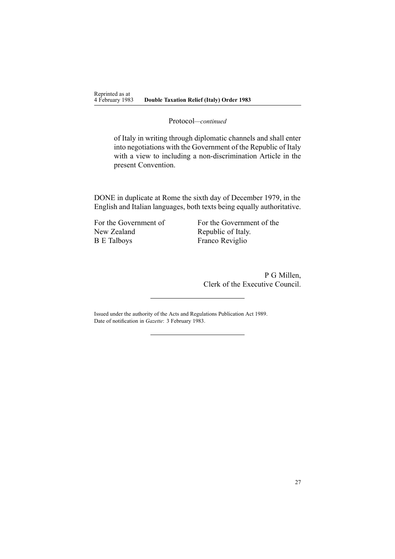Protocol*—continued*

of Italy in writing through diplomatic channels and shall enter into negotiations with the Government of the Republic of Italy with <sup>a</sup> view to including <sup>a</sup> non-discrimination Article in the presen<sup>t</sup> Convention.

DONE in duplicate at Rome the sixth day of December 1979, in the English and Italian languages, both texts being equally authoritative.

For the Government of New Zealand B E Talboys

For the Government of the Republic of Italy. Franco Reviglio

P G Millen, Clerk of the Executive Council.

Issued under the authority of the Acts and [Regulations](http://www.legislation.govt.nz/pdflink.aspx?id=DLM195097) Publication Act 1989. Date of notification in *Gazette*: 3 February 1983.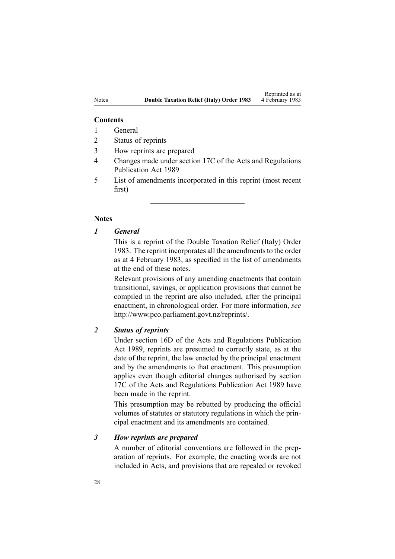#### **Contents**

- 1 General
- 2 Status of reprints
- 3 How reprints are prepared
- 4 Changes made under section 17C of the Acts and Regulations Publication Act 1989
- 5 List of amendments incorporated in this reprint (most recent first)

#### **Notes**

#### *1 General*

This is <sup>a</sup> reprint of the Double Taxation Relief (Italy) Order 1983. The reprint incorporates all the amendments to the order as at 4 February 1983, as specified in the list of amendments at the end of these notes.

Relevant provisions of any amending enactments that contain transitional, savings, or application provisions that cannot be compiled in the reprint are also included, after the principal enactment, in chronological order. For more information, *see* <http://www.pco.parliament.govt.nz/reprints/>.

#### *2 Status of reprints*

Under [section](http://www.legislation.govt.nz/pdflink.aspx?id=DLM195439) 16D of the Acts and Regulations Publication Act 1989, reprints are presumed to correctly state, as at the date of the reprint, the law enacted by the principal enactment and by the amendments to that enactment. This presumption applies even though editorial changes authorised by [section](http://www.legislation.govt.nz/pdflink.aspx?id=DLM195466) [17C](http://www.legislation.govt.nz/pdflink.aspx?id=DLM195466) of the Acts and Regulations Publication Act 1989 have been made in the reprint.

This presumption may be rebutted by producing the official volumes of statutes or statutory regulations in which the principal enactment and its amendments are contained.

#### *3 How reprints are prepared*

A number of editorial conventions are followed in the preparation of reprints. For example, the enacting words are not included in Acts, and provisions that are repealed or revoked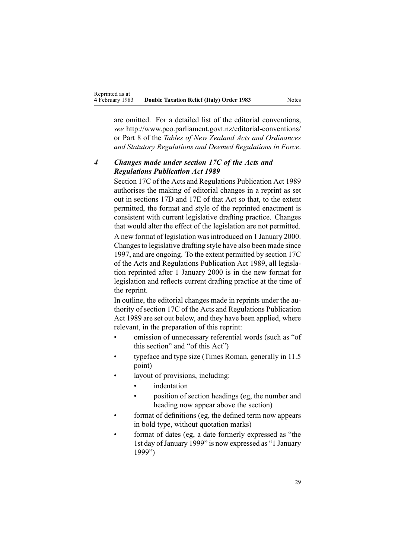are omitted. For <sup>a</sup> detailed list of the editorial conventions, *see* [http://www.pco.parliament.govt.nz/editorial-conventions/](http://www.pco.parliament.govt.nz/editorial-conventions/ ) or Part 8 of the *Tables of New Zealand Acts and Ordinances and Statutory Regulations and Deemed Regulations in Force*.

### *4 Changes made under section 17C of the Acts and Regulations Publication Act 1989*

[Section](http://www.legislation.govt.nz/pdflink.aspx?id=DLM195466) 17C of the Acts and Regulations Publication Act 1989 authorises the making of editorial changes in <sup>a</sup> reprint as set out in [sections](http://www.legislation.govt.nz/pdflink.aspx?id=DLM195468) 17D and [17E](http://www.legislation.govt.nz/pdflink.aspx?id=DLM195470) of that Act so that, to the extent permitted, the format and style of the reprinted enactment is consistent with current legislative drafting practice. Changes that would alter the effect of the legislation are not permitted.

A new format of legislation wasintroduced on 1 January 2000. Changesto legislative drafting style have also been made since 1997, and are ongoing. To the extent permitted by [section](http://www.legislation.govt.nz/pdflink.aspx?id=DLM195466) 17C of the Acts and Regulations Publication Act 1989, all legislation reprinted after 1 January 2000 is in the new format for legislation and reflects current drafting practice at the time of the reprint.

In outline, the editorial changes made in reprints under the authority of [section](http://www.legislation.govt.nz/pdflink.aspx?id=DLM195466) 17C of the Acts and Regulations Publication Act 1989 are set out below, and they have been applied, where relevant, in the preparation of this reprint:

- • omission of unnecessary referential words (such as "of this section" and "of this Act")
- • typeface and type size (Times Roman, generally in 11.5 point)
- • layout of provisions, including:
	- •indentation
	- • position of section headings (eg, the number and heading now appear above the section)
- • format of definitions (eg, the defined term now appears in bold type, without quotation marks)
- • format of dates (eg, <sup>a</sup> date formerly expressed as "the 1st day of January 1999" is now expressed as "1 January 1999")